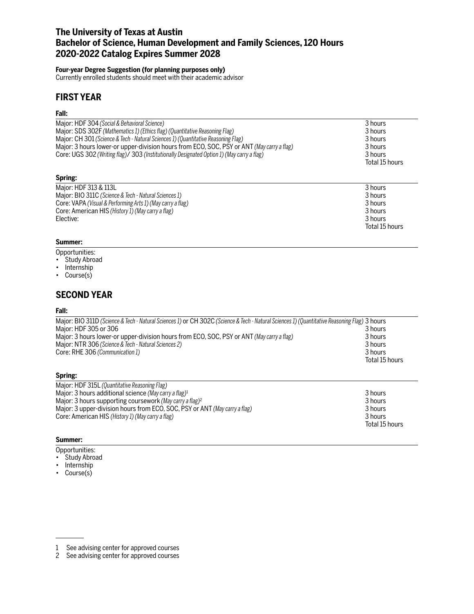# **The University of Texas at Austin Bachelor of Science, Human Development and Family Sciences, 120 Hours 2020-2022 Catalog Expires Summer 2028**

## **Four-year Degree Suggestion (for planning purposes only)**

Currently enrolled students should meet with their academic advisor

# **FIRST YEAR**

## **Fall:**

| Major: HDF 304 (Social & Behavioral Science)<br>Major: SDS 302F (Mathematics 1) (Ethics flag) (Quantitative Reasoning Flag)<br>Major: CH 301 (Science & Tech - Natural Sciences 1) (Quantitative Reasoning Flag)<br>Major: 3 hours lower-or upper-division hours from ECO, SOC, PSY or ANT (May carry a flag)<br>Core: UGS 302 (Writing flag)/ 303 (Institutionally Designated Option 1) (May carry a flag) | 3 hours<br>3 hours<br>3 hours<br>3 hours<br>3 hours<br>Total 15 hours |
|-------------------------------------------------------------------------------------------------------------------------------------------------------------------------------------------------------------------------------------------------------------------------------------------------------------------------------------------------------------------------------------------------------------|-----------------------------------------------------------------------|
| Spring:                                                                                                                                                                                                                                                                                                                                                                                                     |                                                                       |
| Major: HDF 313 & 113L<br>Major: BIO 311C (Science & Tech - Natural Sciences 1)<br>Core: VAPA (Visual & Performing Arts 1) (May carry a flag)<br>Core: American HIS (History 1) (May carry a flag)<br>Elective:                                                                                                                                                                                              | 3 hours<br>3 hours<br>3 hours<br>3 hours<br>3 hours<br>Total 15 hours |

# **Summer:**

- Opportunities:
- Study Abroad
- Internship
- Course(s)

# **SECOND YEAR**

### **Fall:**

| Major: BIO 311D (Science & Tech - Natural Sciences 1) or CH 302C (Science & Tech - Natural Sciences 1) (Quantitative Reasoning Flag) 3 hours |                |
|----------------------------------------------------------------------------------------------------------------------------------------------|----------------|
| Major: HDF 305 or 306                                                                                                                        | 3 hours        |
| Major: 3 hours lower-or upper-division hours from ECO, SOC, PSY or ANT (May carry a flag)                                                    | 3 hours        |
| Major: NTR 306 (Science & Tech - Natural Sciences 2)                                                                                         | 3 hours        |
| Core: RHE 306 (Communication 1)                                                                                                              | 3 hours        |
|                                                                                                                                              | Total 15 hours |
|                                                                                                                                              |                |

### **Spring:**

| Major: HDF 315L (Quantitative Reasoning Flag)                              |                |
|----------------------------------------------------------------------------|----------------|
| Major: 3 hours additional science (May carry a flag) <sup>1</sup>          | 3 hours        |
| Major: 3 hours supporting coursework (May carry a flag) <sup>2</sup>       | 3 hours        |
| Major: 3 upper-division hours from ECO, SOC, PSY or ANT (May carry a flag) | 3 hours        |
| Core: American HIS (History 1) (May carry a flag)                          | 3 hours        |
|                                                                            | Total 15 hours |

### **Summer:**

- Opportunities:
- Study Abroad
- Internship
- Course(s)

<sup>1</sup> See advising center for approved courses

<sup>2</sup> See advising center for approved courses